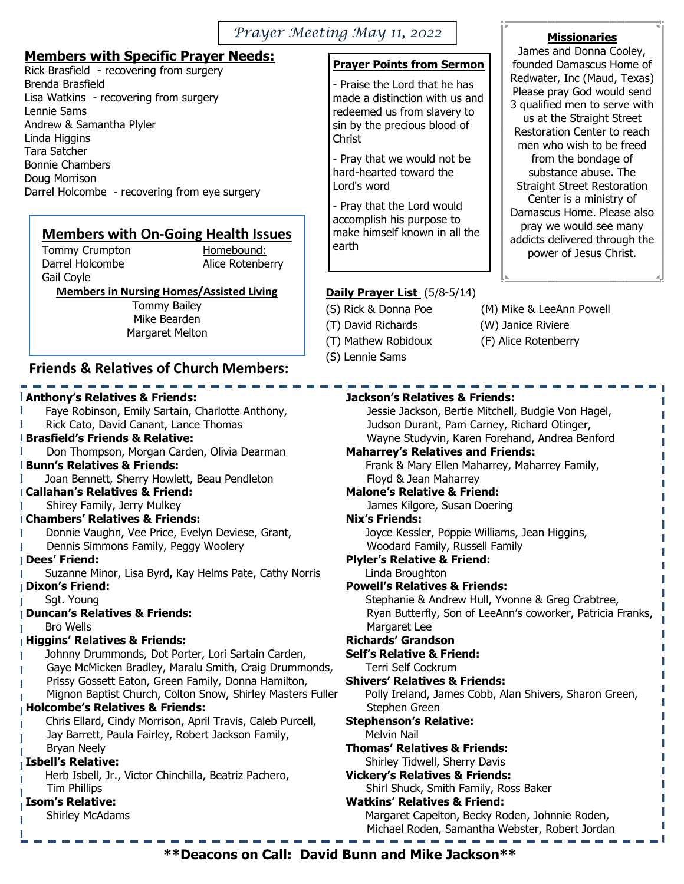#### *Prayer Meeting May 11, 2022*

#### **Members with Specific Prayer Needs:**

Rick Brasfield - recovering from surgery Brenda Brasfield Lisa Watkins - recovering from surgery Lennie Sams Andrew & Samantha Plyler Linda Higgins Tara Satcher Bonnie Chambers Doug Morrison Darrel Holcombe - recovering from eye surgery

# **Members with On-Going Health Issues**<br>
Tommy Crumpton<br>
Homebound:

Tommy Crumpton Gail Coyle

Darrel Holcombe **Alice Rotenberry** 

**Members in Nursing Homes/Assisted Living** 

Tommy Bailey Mike Bearden Margaret Melton

#### **Friends & Relatives of Church Members:**

## **Anthony's Relatives & Friends:**

- Faye Robinson, Emily Sartain, Charlotte Anthony,
- Rick Cato, David Canant, Lance Thomas

#### **Brasfield's Friends & Relative:**

Don Thompson, Morgan Carden, Olivia Dearman

#### **Bunn's Relatives & Friends:**

Joan Bennett, Sherry Howlett, Beau Pendleton

#### **Callahan's Relatives & Friend:**

**I** Shirey Family, Jerry Mulkey

#### **Chambers' Relatives & Friends:**

- Donnie Vaughn, Vee Price, Evelyn Deviese, Grant,
- Dennis Simmons Family, Peggy Woolery

#### **Dees' Friend:**

- Suzanne Minor, Lisa Byrd**,** Kay Helms Pate, Cathy Norris
- **Dixon's Friend:**
- Sgt. Young

#### **Duncan's Relatives & Friends:**

Bro Wells

#### **Higgins' Relatives & Friends:**

- Johnny Drummonds, Dot Porter, Lori Sartain Carden,
- Gaye McMicken Bradley, Maralu Smith, Craig Drummonds,
- Prissy Gossett Eaton, Green Family, Donna Hamilton,
- Mignon Baptist Church, Colton Snow, Shirley Masters Fuller

#### **Holcombe's Relatives & Friends:**

- Chris Ellard, Cindy Morrison, April Travis, Caleb Purcell,
- Jay Barrett, Paula Fairley, Robert Jackson Family,
- Bryan Neely

#### **Isbell's Relative:**

Herb Isbell, Jr., Victor Chinchilla, Beatriz Pachero, Tim Phillips

#### **Isom's Relative:**

Shirley McAdams

## **Prayer Points from Sermon**

- Praise the Lord that he has made a distinction with us and redeemed us from slavery to sin by the precious blood of Christ

- Pray that we would not be hard-hearted toward the Lord's word

- Pray that the Lord would accomplish his purpose to make himself known in all the earth

## **Daily Prayer List** (5/8-5/14)

- 
- (T) David Richards (W) Janice Riviere
- 
- (S) Lennie Sams
- (S) Rick & Donna Poe (M) Mike & LeeAnn Powell
	-
- (T) Mathew Robidoux (F) Alice Rotenberry

| Jackson's Relatives & Friends:                             |
|------------------------------------------------------------|
| Jessie Jackson, Bertie Mitchell, Budgie Von Hagel,         |
| Judson Durant, Pam Carney, Richard Otinger,                |
| Wayne Studyvin, Karen Forehand, Andrea Benford             |
| <b>Maharrey's Relatives and Friends:</b>                   |
| Frank & Mary Ellen Maharrey, Maharrey Family,              |
| Floyd & Jean Maharrey                                      |
| <b>Malone's Relative &amp; Friend:</b>                     |
| James Kilgore, Susan Doering                               |
| <b>Nix's Friends:</b>                                      |
| Joyce Kessler, Poppie Williams, Jean Higgins,              |
| Woodard Family, Russell Family                             |
| <b>Plyler's Relative &amp; Friend:</b>                     |
| Linda Broughton                                            |
| <b>Powell's Relatives &amp; Friends:</b>                   |
| Stephanie & Andrew Hull, Yvonne & Greg Crabtree,           |
| Ryan Butterfly, Son of LeeAnn's coworker, Patricia Franks, |
| Margaret Lee                                               |
| Richards' Grandson                                         |
| Self's Relative & Friend:                                  |
| Terri Self Cockrum                                         |
| Shivers' Relatives & Friends:                              |
| Polly Ireland, James Cobb, Alan Shivers, Sharon Green,     |
| Stephen Green                                              |
| <b>Stephenson's Relative:</b><br><b>Melvin Nail</b>        |
| Thomas' Relatives & Friends:                               |
| Shirley Tidwell, Sherry Davis                              |
| <b>Vickery's Relatives &amp; Friends:</b>                  |
| Shirl Shuck, Smith Family, Ross Baker                      |
| Watking' Dolotivos 0. Eriondu                              |

#### **Watkins' Relatives & Friend:** Margaret Capelton, Becky Roden, Johnnie Roden, Michael Roden, Samantha Webster, Robert Jordan

# **Missionaries**

James and Donna Cooley, founded Damascus Home of Redwater, Inc (Maud, Texas) Please pray God would send 3 qualified men to serve with us at the Straight Street Restoration Center to reach men who wish to be freed from the bondage of substance abuse. The Straight Street Restoration Center is a ministry of Damascus Home. Please also pray we would see many addicts delivered through the power of Jesus Christ.